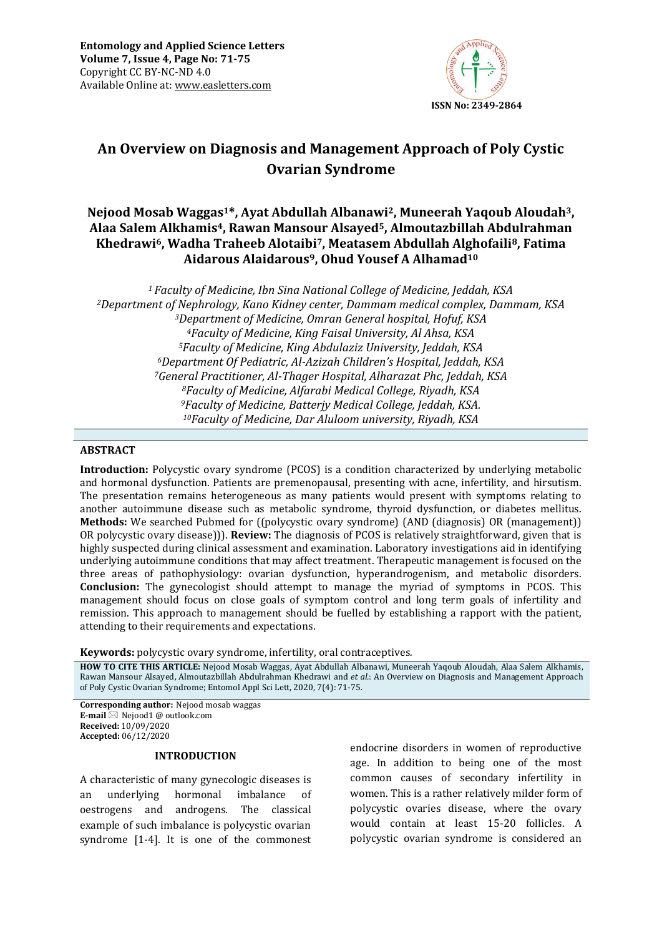

# **An Overview on Diagnosis and Management Approach of Poly Cystic Ovarian Syndrome**

## **Nejood Mosab Waggas1\*, Ayat Abdullah Albanawi2, Muneerah Yaqoub Aloudah3, Alaa Salem Alkhamis4, Rawan Mansour Alsayed5, Almoutazbillah Abdulrahman Khedrawi6, Wadha Traheeb Alotaibi7, Meatasem Abdullah Alghofaili8, Fatima Aidarous Alaidarous9, Ohud Yousef A Alhamad<sup>10</sup>**

*Faculty of Medicine, Ibn Sina National College of Medicine, Jeddah, KSA Department of Nephrology, Kano Kidney center, Dammam medical complex, Dammam, KSA Department of Medicine, Omran General hospital, Hofuf, KSA Faculty of Medicine, King Faisal University, Al Ahsa, KSA Faculty of Medicine, King Abdulaziz University, Jeddah, KSA Department Of Pediatric, Al-Azizah Children's Hospital, Jeddah, KSA General Practitioner, Al-Thager Hospital, Alharazat Phc, Jeddah, KSA Faculty of Medicine, Alfarabi Medical College, Riyadh, KSA Faculty of Medicine, Batterjy Medical College, Jeddah, KSA. Faculty of Medicine, Dar Aluloom university, Riyadh, KSA* 

### **ABSTRACT**

**Introduction:** Polycystic ovary syndrome (PCOS) is a condition characterized by underlying metabolic and hormonal dysfunction. Patients are premenopausal, presenting with acne, infertility, and hirsutism. The presentation remains heterogeneous as many patients would present with symptoms relating to another autoimmune disease such as metabolic syndrome, thyroid dysfunction, or diabetes mellitus. **Methods:** We searched Pubmed for ((polycystic ovary syndrome) (AND (diagnosis) OR (management)) OR polycystic ovary disease))). **Review:** The diagnosis of PCOS is relatively straightforward, given that is highly suspected during clinical assessment and examination. Laboratory investigations aid in identifying underlying autoimmune conditions that may affect treatment. Therapeutic management is focused on the three areas of pathophysiology: ovarian dysfunction, hyperandrogenism, and metabolic disorders. **Conclusion:** The gynecologist should attempt to manage the myriad of symptoms in PCOS. This management should focus on close goals of symptom control and long term goals of infertility and remission. This approach to management should be fuelled by establishing a rapport with the patient, attending to their requirements and expectations.

**Keywords:** polycystic ovary syndrome, infertility, oral contraceptives*.*

**HOW TO CITE THIS ARTICLE:** Nejood Mosab Waggas, Ayat Abdullah Albanawi, Muneerah Yaqoub Aloudah, Alaa Salem Alkhamis, Rawan Mansour Alsayed, Almoutazbillah Abdulrahman Khedrawi and *et al.*: An Overview on Diagnosis and Management Approach of Poly Cystic Ovarian Syndrome; Entomol Appl Sci Lett, 2020, 7(4): 71-75.

**Corresponding author:** Nejood mosab waggas **E-mail** ⊠ Nejood1 @ outlook.com **Received:** 10/09/2020 **Accepted:** 06/12/2020

#### **INTRODUCTION**

A characteristic of many gynecologic diseases is an underlying hormonal imbalance of oestrogens and androgens. The classical example of such imbalance is polycystic ovarian syndrome [1-4]. It is one of the commonest endocrine disorders in women of reproductive age. In addition to being one of the most common causes of secondary infertility in women. This is a rather relatively milder form of polycystic ovaries disease, where the ovary would contain at least 15-20 follicles. A polycystic ovarian syndrome is considered an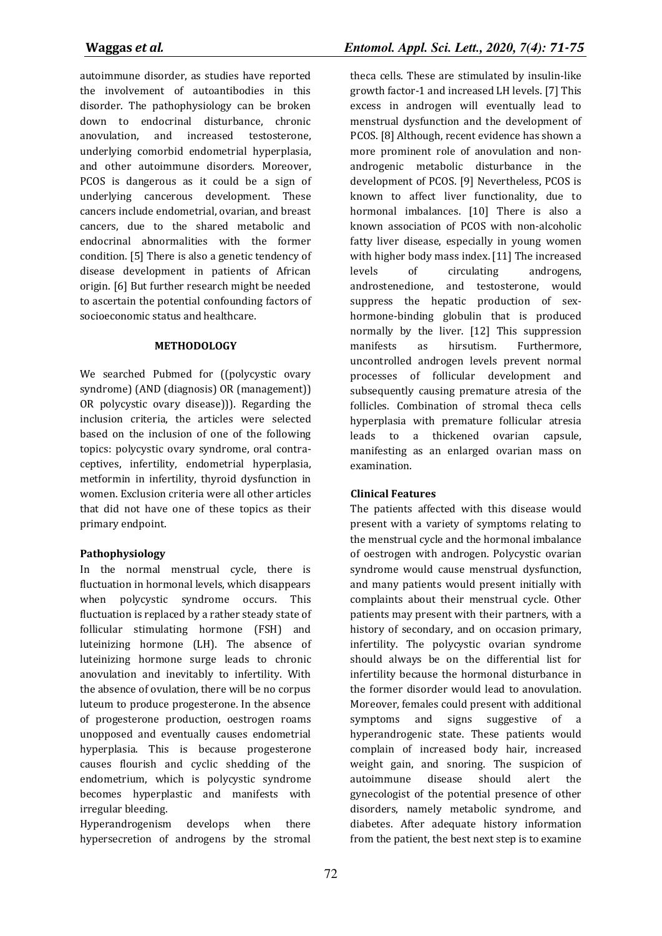autoimmune disorder, as studies have reported the involvement of autoantibodies in this disorder. The pathophysiology can be broken down to endocrinal disturbance, chronic anovulation, and increased testosterone, underlying comorbid endometrial hyperplasia, and other autoimmune disorders. Moreover, PCOS is dangerous as it could be a sign of underlying cancerous development. These cancers include endometrial, ovarian, and breast cancers, due to the shared metabolic and endocrinal abnormalities with the former condition. [5] There is also a genetic tendency of disease development in patients of African origin. [6] But further research might be needed to ascertain the potential confounding factors of socioeconomic status and healthcare.

### **METHODOLOGY**

We searched Pubmed for ((polycystic ovary syndrome) (AND (diagnosis) OR (management)) OR polycystic ovary disease))). Regarding the inclusion criteria, the articles were selected based on the inclusion of one of the following topics: polycystic ovary syndrome, oral contraceptives, infertility, endometrial hyperplasia, metformin in infertility, thyroid dysfunction in women. Exclusion criteria were all other articles that did not have one of these topics as their primary endpoint.

### **Pathophysiology**

In the normal menstrual cycle, there is fluctuation in hormonal levels, which disappears when polycystic syndrome occurs. This fluctuation is replaced by a rather steady state of follicular stimulating hormone (FSH) and luteinizing hormone (LH). The absence of luteinizing hormone surge leads to chronic anovulation and inevitably to infertility. With the absence of ovulation, there will be no corpus luteum to produce progesterone. In the absence of progesterone production, oestrogen roams unopposed and eventually causes endometrial hyperplasia. This is because progesterone causes flourish and cyclic shedding of the endometrium, which is polycystic syndrome becomes hyperplastic and manifests with irregular bleeding.

Hyperandrogenism develops when there hypersecretion of androgens by the stromal

theca cells. These are stimulated by insulin-like growth factor-1 and increased LH levels. [7] This excess in androgen will eventually lead to menstrual dysfunction and the development of PCOS. [8] Although, recent evidence has shown a more prominent role of anovulation and nonandrogenic metabolic disturbance in the development of PCOS. [9] Nevertheless, PCOS is known to affect liver functionality, due to hormonal imbalances. [10] There is also a known association of PCOS with non-alcoholic fatty liver disease, especially in young women with higher body mass index. [11] The increased levels of circulating androgens, androstenedione, and testosterone, would suppress the hepatic production of sexhormone-binding globulin that is produced normally by the liver. [12] This suppression manifests as hirsutism. Furthermore, uncontrolled androgen levels prevent normal processes of follicular development and subsequently causing premature atresia of the follicles. Combination of stromal theca cells hyperplasia with premature follicular atresia leads to a thickened ovarian capsule, manifesting as an enlarged ovarian mass on examination.

### **Clinical Features**

The patients affected with this disease would present with a variety of symptoms relating to the menstrual cycle and the hormonal imbalance of oestrogen with androgen. Polycystic ovarian syndrome would cause menstrual dysfunction, and many patients would present initially with complaints about their menstrual cycle. Other patients may present with their partners, with a history of secondary, and on occasion primary, infertility. The polycystic ovarian syndrome should always be on the differential list for infertility because the hormonal disturbance in the former disorder would lead to anovulation. Moreover, females could present with additional symptoms and signs suggestive of a hyperandrogenic state. These patients would complain of increased body hair, increased weight gain, and snoring. The suspicion of autoimmune disease should alert the gynecologist of the potential presence of other disorders, namely metabolic syndrome, and diabetes. After adequate history information from the patient, the best next step is to examine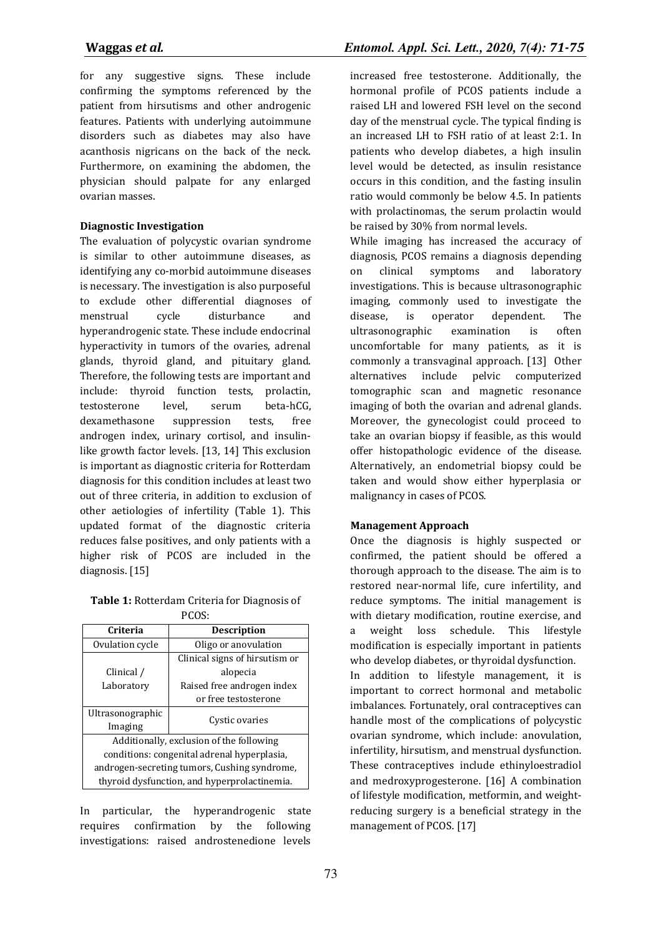for any suggestive signs. These include confirming the symptoms referenced by the patient from hirsutisms and other androgenic features. Patients with underlying autoimmune disorders such as diabetes may also have acanthosis nigricans on the back of the neck. Furthermore, on examining the abdomen, the physician should palpate for any enlarged ovarian masses.

### **Diagnostic Investigation**

The evaluation of polycystic ovarian syndrome is similar to other autoimmune diseases, as identifying any co-morbid autoimmune diseases is necessary. The investigation is also purposeful to exclude other differential diagnoses of menstrual cycle disturbance and hyperandrogenic state. These include endocrinal hyperactivity in tumors of the ovaries, adrenal glands, thyroid gland, and pituitary gland. Therefore, the following tests are important and include: thyroid function tests, prolactin, testosterone level, serum beta-hCG, dexamethasone suppression tests, free androgen index, urinary cortisol, and insulinlike growth factor levels. [13, 14] This exclusion is important as diagnostic criteria for Rotterdam diagnosis for this condition includes at least two out of three criteria, in addition to exclusion of other aetiologies of infertility (Table 1). This updated format of the diagnostic criteria reduces false positives, and only patients with a higher risk of PCOS are included in the diagnosis. [15]

#### **Table 1:** Rotterdam Criteria for Diagnosis of PCOS:

| Criteria                                     | <b>Description</b>             |
|----------------------------------------------|--------------------------------|
| Ovulation cycle                              | Oligo or anovulation           |
|                                              | Clinical signs of hirsutism or |
| Clinical /                                   | alopecia                       |
| Laboratory                                   | Raised free androgen index     |
|                                              | or free testosterone           |
| Ultrasonographic                             | Cystic ovaries                 |
| Imaging                                      |                                |
| Additionally, exclusion of the following     |                                |
| conditions: congenital adrenal hyperplasia,  |                                |
| androgen-secreting tumors, Cushing syndrome, |                                |
| thyroid dysfunction, and hyperprolactinemia. |                                |

In particular, the hyperandrogenic state requires confirmation by the following investigations: raised androstenedione levels increased free testosterone. Additionally, the hormonal profile of PCOS patients include a raised LH and lowered FSH level on the second day of the menstrual cycle. The typical finding is an increased LH to FSH ratio of at least 2:1. In patients who develop diabetes, a high insulin level would be detected, as insulin resistance occurs in this condition, and the fasting insulin ratio would commonly be below 4.5. In patients with prolactinomas, the serum prolactin would be raised by 30% from normal levels.

While imaging has increased the accuracy of diagnosis, PCOS remains a diagnosis depending on clinical symptoms and laboratory investigations. This is because ultrasonographic imaging, commonly used to investigate the disease, is operator dependent. The ultrasonographic examination is often uncomfortable for many patients, as it is commonly a transvaginal approach. [13] Other alternatives include pelvic computerized tomographic scan and magnetic resonance imaging of both the ovarian and adrenal glands. Moreover, the gynecologist could proceed to take an ovarian biopsy if feasible, as this would offer histopathologic evidence of the disease. Alternatively, an endometrial biopsy could be taken and would show either hyperplasia or malignancy in cases of PCOS.

### **Management Approach**

Once the diagnosis is highly suspected or confirmed, the patient should be offered a thorough approach to the disease. The aim is to restored near-normal life, cure infertility, and reduce symptoms. The initial management is with dietary modification, routine exercise, and a weight loss schedule. This lifestyle modification is especially important in patients who develop diabetes, or thyroidal dysfunction. In addition to lifestyle management, it is important to correct hormonal and metabolic imbalances. Fortunately, oral contraceptives can handle most of the complications of polycystic ovarian syndrome, which include: anovulation, infertility, hirsutism, and menstrual dysfunction. These contraceptives include ethinyloestradiol and medroxyprogesterone. [16] A combination of lifestyle modification, metformin, and weightreducing surgery is a beneficial strategy in the management of PCOS. [17]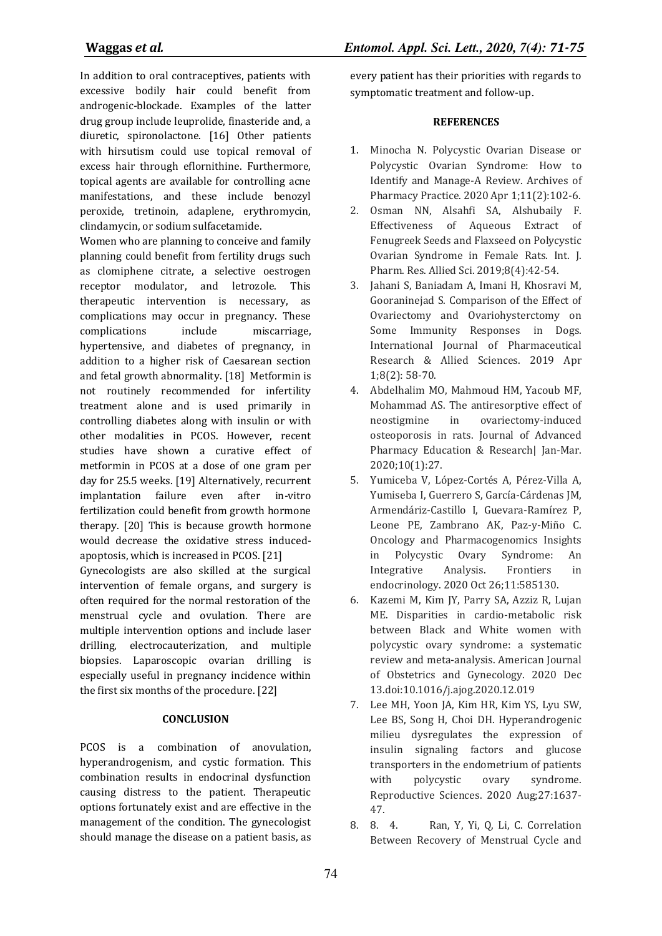In addition to oral contraceptives, patients with excessive bodily hair could benefit from androgenic-blockade. Examples of the latter drug group include leuprolide, finasteride and, a diuretic, spironolactone. [16] Other patients with hirsutism could use topical removal of excess hair through eflornithine. Furthermore, topical agents are available for controlling acne manifestations, and these include benozyl peroxide, tretinoin, adaplene, erythromycin, clindamycin, or sodium sulfacetamide.

Women who are planning to conceive and family planning could benefit from fertility drugs such as clomiphene citrate, a selective oestrogen receptor modulator, and letrozole. This therapeutic intervention is necessary, as complications may occur in pregnancy. These complications include miscarriage, hypertensive, and diabetes of pregnancy, in addition to a higher risk of Caesarean section and fetal growth abnormality. [18] Metformin is not routinely recommended for infertility treatment alone and is used primarily in controlling diabetes along with insulin or with other modalities in PCOS. However, recent studies have shown a curative effect of metformin in PCOS at a dose of one gram per day for 25.5 weeks. [19] Alternatively, recurrent implantation failure even after in-vitro fertilization could benefit from growth hormone therapy. [20] This is because growth hormone would decrease the oxidative stress inducedapoptosis, which is increased in PCOS. [21]

Gynecologists are also skilled at the surgical intervention of female organs, and surgery is often required for the normal restoration of the menstrual cycle and ovulation. There are multiple intervention options and include laser drilling, electrocauterization, and multiple biopsies. Laparoscopic ovarian drilling is especially useful in pregnancy incidence within the first six months of the procedure. [22]

#### **CONCLUSION**

PCOS is a combination of anovulation, hyperandrogenism, and cystic formation. This combination results in endocrinal dysfunction causing distress to the patient. Therapeutic options fortunately exist and are effective in the management of the condition. The gynecologist should manage the disease on a patient basis, as

**Waggas** *et al.**Entomol. Appl. Sci. Lett., 2020, 7(4): 71-75*

every patient has their priorities with regards to symptomatic treatment and follow-up.

#### **REFERENCES**

- 1. Minocha N. Polycystic Ovarian Disease or Polycystic Ovarian Syndrome: How to Identify and Manage-A Review. Archives of Pharmacy Practice. 2020 Apr 1;11(2):102-6.
- 2. Osman NN, Alsahfi SA, Alshubaily F. Effectiveness of Aqueous Extract of Fenugreek Seeds and Flaxseed on Polycystic Ovarian Syndrome in Female Rats. Int. J. Pharm. Res. Allied Sci. 2019;8(4):42-54.
- 3. Jahani S, Baniadam A, Imani H, Khosravi M, Gooraninejad S. Comparison of the Effect of Ovariectomy and Ovariohysterctomy on Some Immunity Responses in Dogs. International Journal of Pharmaceutical Research & Allied Sciences. 2019 Apr 1;8(2): 58-70.
- 4. Abdelhalim MO, Mahmoud HM, Yacoub MF, Mohammad AS. The antiresorptive effect of neostigmine in ovariectomy-induced osteoporosis in rats. Journal of Advanced Pharmacy Education & Research| Jan-Mar. 2020;10(1):27.
- 5. Yumiceba V, López-Cortés A, Pérez-Villa A, Yumiseba I, Guerrero S, García-Cárdenas JM, Armendáriz-Castillo I, Guevara-Ramírez P, Leone PE, Zambrano AK, Paz-y-Miño C. Oncology and Pharmacogenomics Insights in Polycystic Ovary Syndrome: An Integrative Analysis. Frontiers in endocrinology. 2020 Oct 26;11:585130.
- 6. Kazemi M, Kim JY, Parry SA, Azziz R, Lujan ME. Disparities in cardio-metabolic risk between Black and White women with polycystic ovary syndrome: a systematic review and meta-analysis. American Journal of Obstetrics and Gynecology. 2020 Dec 13.doi:10.1016/j.ajog.2020.12.019
- 7. Lee MH, Yoon JA, Kim HR, Kim YS, Lyu SW, Lee BS, Song H, Choi DH. Hyperandrogenic milieu dysregulates the expression of insulin signaling factors and glucose transporters in the endometrium of patients with polycystic ovary syndrome. Reproductive Sciences. 2020 Aug;27:1637- 47.
- 8. 8. 4. Ran, Y, Yi, Q, Li, C. Correlation Between Recovery of Menstrual Cycle and